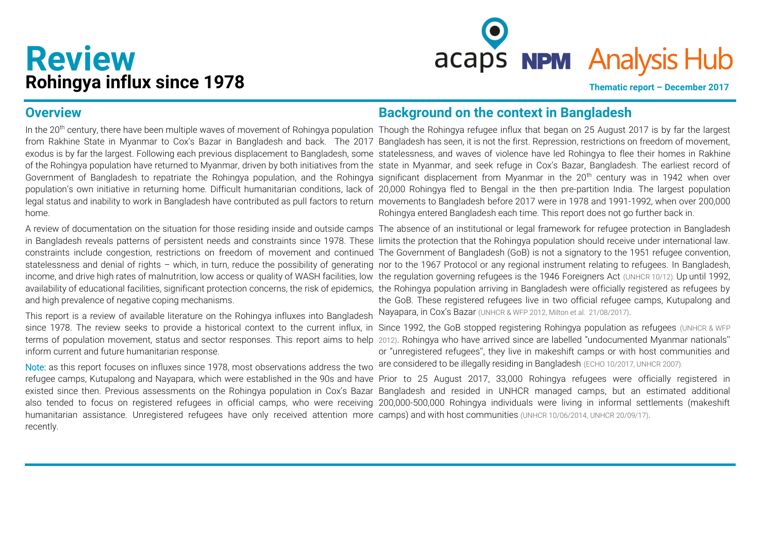# **Review**

**Review**<br> **Rohingya influx since 1978 Thematic report** – December 2017

## **Overview**

home.

and high prevalence of negative coping mechanisms.

This report is a review of available literature on the Rohingya influxes into Bangladesh Nayapara, in Cox's Bazar [\(UNHCR & WFP 2012,](http://www.unhcr.org/510fcefb9.pdf) [Milton et al. 21/08/2017\)](https://www.ncbi.nlm.nih.gov/pmc/articles/PMC5580644/). inform current and future humanitarian response.

Note: as this report focuses on influxes since 1978, most observations address the two humanitarian assistance. Unregistered refugees have only received attention more camps) and with host communities [\(UNHCR 10/06/2014,](http://www.unhcr.org/news/latest/2014/6/5396ee3b9/thousands-continue-flee-myanmar-unhcr-concerned-growing-reports-abuse.html) [UNHCR 20/09/17\)](http://reporting.unhcr.org/sites/default/files/UNHCR%20Update%20on%20the%20Emergency%20Response%20in%20Bangladesh%20-%20September%202017.pdf). recently.

# **Background on the context in Bangladesh**

In the 20<sup>th</sup> century, there have been multiple waves of movement of Rohingya population Though the Rohingya refugee influx that began on 25 August 2017 is by far the largest from Rakhine State in Myanmar to Cox's Bazar in Bangladesh and back. The 2017 Bangladesh has seen, it is not the first. Repression, restrictions on freedom of movement, exodus is by far the largest. Following each previous displacement to Bangladesh, some statelessness, and waves of violence have led Rohingya to flee their homes in Rakhine of the Rohingya population have returned to Myanmar, driven by both initiatives from the state in Myanmar, and seek refuge in Cox's Bazar, Bangladesh. The earliest record of Government of Bangladesh to repatriate the Rohingya population, and the Rohingya significant displacement from Myanmar in the 20<sup>th</sup> century was in 1942 when over population's own initiative in returning home. Difficult humanitarian conditions, lack of 20,000 Rohingya fled to Bengal in the then pre-partition India. The largest population legal status and inability to work in Bangladesh have contributed as pull factors to return movements to Bangladesh before 2017 were in 1978 and 1991-1992, when over 200,000 Rohingya entered Bangladesh each time. This report does not go further back in.

A review of documentation on the situation for those residing inside and outside camps The absence of an institutional or legal framework for refugee protection in Bangladesh in Bangladesh reveals patterns of persistent needs and constraints since 1978. These limits the protection that the Rohingya population should receive under international law. constraints include congestion, restrictions on freedom of movement and continued The Government of Bangladesh (GoB) is not a signatory to the 1951 refugee convention, statelessness and denial of rights - which, in turn, reduce the possibility of generating nor to the 1967 Protocol or any regional instrument relating to refugees. In Bangladesh, income, and drive high rates of malnutrition, low access or quality of WASH facilities, low the regulation governing refugees is the 1946 Foreigners Act [\(UNHCR 10/12\)](http://www.refworld.org/pdfid/508640242.pdf). Up until 1992, availability of educational facilities, significant protection concerns, the risk of epidemics, the Rohingya population arriving in Bangladesh were officially registered as refugees by the GoB. These registered refugees live in two official refugee camps, Kutupalong and

since 1978. The review seeks to provide a historical context to the current influx, in Since 1992, the GoB stopped registering Rohingya population as refugees (UNHCR & WFP terms of population movement, status and sector responses. This report aims to help [2012\)](http://www.unhcr.org/510fcefb9.pdf). Rohingya who have arrived since are labelled "undocumented Myanmar nationals'' or "unregistered refugees'', they live in makeshift camps or with host communities and are considered to be illegally residing in Bangladesh [\(ECHO 10/2017,](http://ec.europa.eu/echo/files/aid/countries/factsheets/rohingya_en.pdf) [UNHCR 2007\)](http://www.unhcr.org/protect/PROTECTION/46fa1af32.pdf).

refugee camps, Kutupalong and Nayapara, which were established in the 90s and have Prior to 25 August 2017, 33,000 Rohingya refugees were officially registered in existed since then. Previous assessments on the Rohingya population in Cox's Bazar Bangladesh and resided in UNHCR managed camps, but an estimated additional also tended to focus on registered refugees in official camps, who were receiving 200,000-500,000 Rohingya individuals were living in informal settlements (makeshift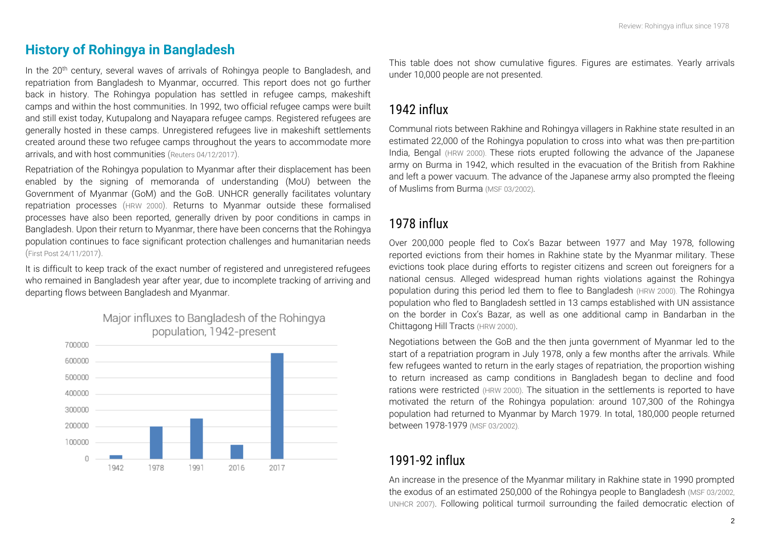# **History of Rohingya in Bangladesh**

In the 20<sup>th</sup> century, several waves of arrivals of Rohingya people to Bangladesh, and repatriation from Bangladesh to Myanmar, occurred. This report does not go further back in history. The Rohingya population has settled in refugee camps, makeshift camps and within the host communities. In 1992, two official refugee camps were built and still exist today, Kutupalong and Nayapara refugee camps. Registered refugees are generally hosted in these camps. Unregistered refugees live in makeshift settlements created around these two refugee camps throughout the years to accommodate more arrivals, and with host communities ([Reuters 04/12/2017](http://fingfx.thomsonreuters.com/gfx/rngs/MYANMAR-ROHINGYA/010051VB46G/index.html)).

Repatriation of the Rohingya population to Myanmar after their displacement has been enabled by the signing of memoranda of understanding (MoU) between the Government of Myanmar (GoM) and the GoB. UNHCR generally facilitates voluntary repatriation processes ([HRW 2000](https://www.hrw.org/reports/2000/burma/burm005-01.htm)). Returns to Myanmar outside these formalised processes have also been reported, generally driven by poor conditions in camps in Bangladesh. Upon their return to Myanmar, there have been concerns that the Rohingya population continues to face significant protection challenges and humanitarian needs ([First Post 24/11/2017](http://www.firstpost.com/world/human-rights-watch-dismisses-laughable-myanmar-bangladesh-pact-on-rohingya-repatriation-4225767.html)).

It is difficult to keep track of the exact number of registered and unregistered refugees who remained in Bangladesh year after year, due to incomplete tracking of arriving and departing flows between Bangladesh and Myanmar.



Major influxes to Bangladesh of the Rohingya population, 1942-present

This table does not show cumulative figures. Figures are estimates. Yearly arrivals under 10,000 people are not presented.

# *1942 influx*

Communal riots between Rakhine and Rohingya villagers in Rakhine state resulted in an estimated 22,000 of the Rohingya population to cross into what was then pre-partition India, Bengal [\(HRW 2000\)](https://www.hrw.org/reports/2000/burma/burm005-01.htm). These riots erupted following the advance of the Japanese army on Burma in 1942, which resulted in the evacuation of the British from Rakhine and left a power vacuum. The advance of the Japanese army also prompted the fleeing of Muslims from Burma [\(MSF 03/2002\)](https://www.google.com/url?sa=t&rct=j&q=&esrc=s&source=web&cd=1&ved=0ahUKEwju8_3upc_XAhVEo5QKHcGOBUcQFggrMAA&url=http%3A%2F%2Fwww.msf.org%2Fsites%2Fmsf.org%2Ffiles%2Fold-cms%2Fsource%2Fdownloads%2F2002%2Frohingya.doc&usg=AOvVaw0D4HSmbPHi9t5wbmyqkxoI).

# *1978 influx*

Over 200,000 people fled to Cox's Bazar between 1977 and May 1978, following reported evictions from their homes in Rakhine state by the Myanmar military. These evictions took place during efforts to register citizens and screen out foreigners for a national census. Alleged widespread human rights violations against the Rohingya population during this period led them to flee to Bangladesh [\(HRW 2000\)](https://www.hrw.org/reports/2000/burma/burm005-01.htm#P116_27103). The Rohingya population who fled to Bangladesh settled in 13 camps established with UN assistance on the border in Cox's Bazar, as well as one additional camp in Bandarban in the Chittagong Hill Tracts [\(HRW 2000\)](https://www.hrw.org/reports/2000/burma/burm005-01.htm#P116_27103).

Negotiations between the GoB and the then junta government of Myanmar led to the start of a repatriation program in July 1978, only a few months after the arrivals. While few refugees wanted to return in the early stages of repatriation, the proportion wishing to return increased as camp conditions in Bangladesh began to decline and food rations were restricted [\(HRW 2000\).](https://www.hrw.org/reports/2000/burma/burm005-01.htm) The situation in the settlements is reported to have motivated the return of the Rohingya population: around 107,300 of the Rohingya population had returned to Myanmar by March 1979. In total, 180,000 people returned between 1978-1979 [\(MSF 03/2002\)](https://www.google.com/url?sa=t&rct=j&q=&esrc=s&source=web&cd=1&ved=0ahUKEwju8_3upc_XAhVEo5QKHcGOBUcQFggrMAA&url=http%3A%2F%2Fwww.msf.org%2Fsites%2Fmsf.org%2Ffiles%2Fold-cms%2Fsource%2Fdownloads%2F2002%2Frohingya.doc&usg=AOvVaw0D4HSmbPHi9t5wbmyqkxoI).

# *1991-92 influx*

An increase in the presence of the Myanmar military in Rakhine state in 1990 prompted the exodus of an estimated 250,000 of the Rohingya people to Bangladesh [\(MSF 03/2002,](https://www.google.com/url?sa=t&rct=j&q=&esrc=s&source=web&cd=1&ved=0ahUKEwju8_3upc_XAhVEo5QKHcGOBUcQFggrMAA&url=http%3A%2F%2Fwww.msf.org%2Fsites%2Fmsf.org%2Ffiles%2Fold-cms%2Fsource%2Fdownloads%2F2002%2Frohingya.doc&usg=AOvVaw0D4HSmbPHi9t5wbmyqkxoI)  [UNHCR 2007\)](http://www.unhcr.org/protect/PROTECTION/46fa1af32.pdf). Following political turmoil surrounding the failed democratic election of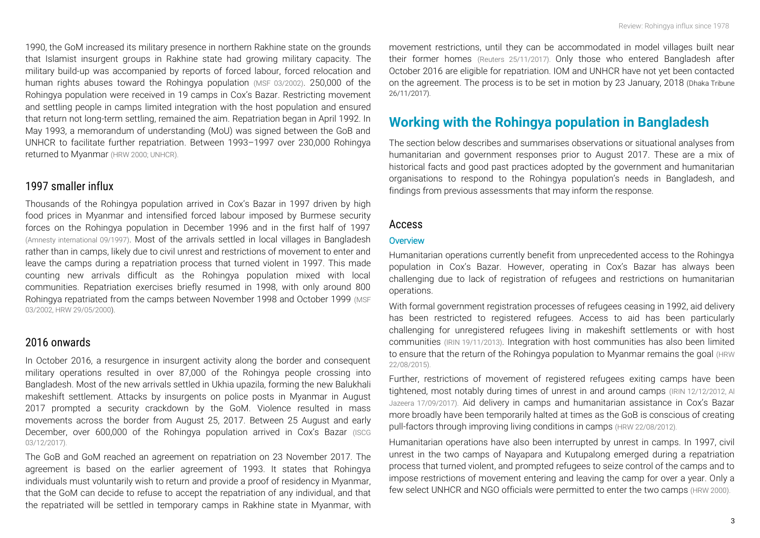1990, the GoM increased its military presence in northern Rakhine state on the grounds that Islamist insurgent groups in Rakhine state had growing military capacity. The military build-up was accompanied by reports of forced labour, forced relocation and human rights abuses toward the Rohingya population [\(MSF 03/2002\)](https://www.google.com/url?sa=t&rct=j&q=&esrc=s&source=web&cd=1&ved=0ahUKEwju8_3upc_XAhVEo5QKHcGOBUcQFggrMAA&url=http%3A%2F%2Fwww.msf.org%2Fsites%2Fmsf.org%2Ffiles%2Fold-cms%2Fsource%2Fdownloads%2F2002%2Frohingya.doc&usg=AOvVaw0D4HSmbPHi9t5wbmyqkxoI). 250,000 of the Rohingya population were received in 19 camps in Cox's Bazar. Restricting movement and settling people in camps limited integration with the host population and ensured that return not long-term settling, remained the aim. Repatriation began in April 1992. In May 1993, a memorandum of understanding (MoU) was signed between the GoB and UNHCR to facilitate further repatriation. Between 1993–1997 over 230,000 Rohingya returned to Myanmar [\(HRW 2000;](https://www.hrw.org/reports/2000/burma/burm005-01.htm) [UNHCR\)](http://www.unhcr.org/3d941f4c7.pdf).

#### *1997 smaller influx*

Thousands of the Rohingya population arrived in Cox's Bazar in 1997 driven by high food prices in Myanmar and intensified forced labour imposed by Burmese security forces on the Rohingya population in December 1996 and in the first half of 1997 [\(Amnesty international 09/1997\)](file:///C:/Users/CR/Downloads/asa130071997en%20(2).pdf). Most of the arrivals settled in local villages in Bangladesh rather than in camps, likely due to civil unrest and restrictions of movement to enter and leave the camps during a repatriation process that turned violent in 1997. This made counting new arrivals difficult as the Rohingya population mixed with local communities. Repatriation exercises briefly resumed in 1998, with only around 800 Rohingya repatriated from the camps between November 1998 and October 1999 [\(MSF](https://www.google.com/url?sa=t&rct=j&q=&esrc=s&source=web&cd=1&ved=0ahUKEwju8_3upc_XAhVEo5QKHcGOBUcQFggrMAA&url=http%3A%2F%2Fwww.msf.org%2Fsites%2Fmsf.org%2Ffiles%2Fold-cms%2Fsource%2Fdownloads%2F2002%2Frohingya.doc&usg=AOvVaw0D4HSmbPHi9t5wbmyqkxoI)  [03/2002,](https://www.google.com/url?sa=t&rct=j&q=&esrc=s&source=web&cd=1&ved=0ahUKEwju8_3upc_XAhVEo5QKHcGOBUcQFggrMAA&url=http%3A%2F%2Fwww.msf.org%2Fsites%2Fmsf.org%2Ffiles%2Fold-cms%2Fsource%2Fdownloads%2F2002%2Frohingya.doc&usg=AOvVaw0D4HSmbPHi9t5wbmyqkxoI) [HRW 29/05/2000\)](https://www.hrw.org/report/2000/05/01/burmese-refugees-bangladesh/still-no-durable-solution).

#### *2016 onwards*

In October 2016, a resurgence in insurgent activity along the border and consequent military operations resulted in over 87,000 of the Rohingya people crossing into Bangladesh. Most of the new arrivals settled in Ukhia upazila, forming the new Balukhali makeshift settlement. Attacks by insurgents on police posts in Myanmar in August 2017 prompted a security crackdown by the GoM. Violence resulted in mass movements across the border from August 25, 2017. Between 25 August and early December, over 600,000 of the Rohingya population arrived in Cox's Bazar [\(ISCG](https://www.humanitarianresponse.info/system/files/documents/files/171203_weekly_iscg_sitrep_final.doc_0.pdf)  [03/12/2017\)](https://www.humanitarianresponse.info/system/files/documents/files/171203_weekly_iscg_sitrep_final.doc_0.pdf).

The GoB and GoM reached an agreement on repatriation on 23 November 2017. The agreement is based on the earlier agreement of 1993. It states that Rohingya individuals must voluntarily wish to return and provide a proof of residency in Myanmar, that the GoM can decide to refuse to accept the repatriation of any individual, and that the repatriated will be settled in temporary camps in Rakhine state in Myanmar, with

movement restrictions, until they can be accommodated in model villages built near their former homes [\(Reuters 25/11/2017\)](https://www.reuters.com/article/us-myanmar-rohingya/bangladesh-says-agreed-with-myanmar-for-unhcr-to-assist-rohingyas-return-idUSKBN1DP05N). Only those who entered Bangladesh after October 2016 are eligible for repatriation. IOM and UNHCR have not yet been contacted on the agreement. The process is to be set in motion by 23 January, 2018 [\(Dhaka Tribune](http://www.dhakatribune.com/bangladesh/2017/11/26/rohingya-repatriation-deal-know/)  [26/11/2017\)](http://www.dhakatribune.com/bangladesh/2017/11/26/rohingya-repatriation-deal-know/).

# **Working with the Rohingya population in Bangladesh**

The section below describes and summarises observations or situational analyses from humanitarian and government responses prior to August 2017. These are a mix of historical facts and good past practices adopted by the government and humanitarian organisations to respond to the Rohingya population's needs in Bangladesh, and findings from previous assessments that may inform the response.

#### *Access*

#### **Overview**

Humanitarian operations currently benefit from unprecedented access to the Rohingya population in Cox's Bazar. However, operating in Cox's Bazar has always been challenging due to lack of registration of refugees and restrictions on humanitarian operations.

With formal government registration processes of refugees ceasing in 1992, aid delivery has been restricted to registered refugees. Access to aid has been particularly challenging for unregistered refugees living in makeshift settlements or with host communities [\(IRIN 19/11/2013\)](http://www.irinnews.org/analysis/2013/11/19/how-bangladesh-aid-restrictions-impact-rohingyas). Integration with host communities has also been limited to ensure that the return of the Rohingya population to Myanmar remains the goal [\(HRW](https://www.hrw.org/news/2012/08/22/bangladesh-assist-protect-rohingya-refugees)  [22/08/2015\)](https://www.hrw.org/news/2012/08/22/bangladesh-assist-protect-rohingya-refugees).

Further, restrictions of movement of registered refugees exiting camps have been tightened, most notably during times of unrest in and around camps [\(IRIN 12/12/2012,](http://www.irinnews.org/report/96526/bangladesh-rohingya-refugees-face-more-restrictions) [Al](http://www.aljazeera.com/news/2017/09/bangladesh-restricts-movement-rohingya-refugees-170917004640300.html)  [Jazeera 17/09/2017\)](http://www.aljazeera.com/news/2017/09/bangladesh-restricts-movement-rohingya-refugees-170917004640300.html). Aid delivery in camps and humanitarian assistance in Cox's Bazar more broadly have been temporarily halted at times as the GoB is conscious of creating pull-factors through improving living conditions in camps [\(HRW 22/08/2012\)](https://www.hrw.org/news/2012/08/22/bangladesh-assist-protect-rohingya-refugees).

Humanitarian operations have also been interrupted by unrest in camps. In 1997, civil unrest in the two camps of Nayapara and Kutupalong emerged during a repatriation process that turned violent, and prompted refugees to seize control of the camps and to impose restrictions of movement entering and leaving the camp for over a year. Only a few select UNHCR and NGO officials were permitted to enter the two camps [\(HRW 2000\)](https://www.hrw.org/report/2000/05/01/burmese-refugees-bangladesh/still-no-durable-solution).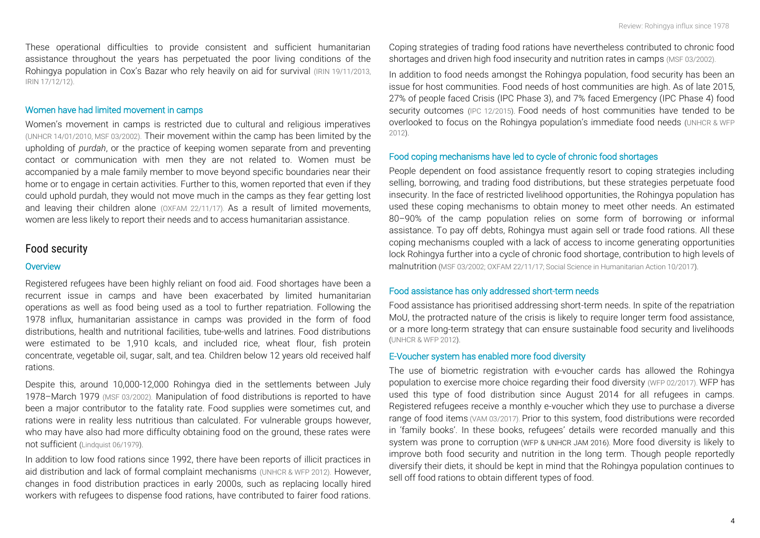These operational difficulties to provide consistent and sufficient humanitarian assistance throughout the years has perpetuated the poor living conditions of the Rohingya population in Cox's Bazar who rely heavily on aid for survival [\(IRIN 19/11/2013,](http://www.irinnews.org/analysis/2013/11/19/how-bangladesh-aid-restrictions-impact-rohingyas) [IRIN 17/12/12\)](http://www.irinnews.org/feature/2012/12/17/ngo-ban-hurting-undocumented-rohingya).

#### Women have had limited movement in camps

Women's movement in camps is restricted due to cultural and religious imperatives [\(UNHCR 14/01/2010, MSF 03/2002\).](http://www.unhcr.org/news/makingdifference/2010/1/4b4f23f69/bangladesh-solar-power-determination-bring-information-age-remote-refugees.html) Their movement within the camp has been limited by the upholding of *purdah*, or the practice of keeping women separate from and preventing contact or communication with men they are not related to. Women must be accompanied by a male family member to move beyond specific boundaries near their home or to engage in certain activities. Further to this, women reported that even if they could uphold purdah, they would not move much in the camps as they fear getting lost and leaving their children alone [\(OXFAM 22/11/17\)](https://reliefweb.int/sites/reliefweb.int/files/resources/oxfam_rapid_assessment_report_cb_nov_2017_.pdf). As a result of limited movements, women are less likely to report their needs and to access humanitarian assistance.

#### *Food security*

#### **Overview**

Registered refugees have been highly reliant on food aid. Food shortages have been a recurrent issue in camps and have been exacerbated by limited humanitarian operations as well as food being used as a tool to further repatriation. Following the 1978 influx, humanitarian assistance in camps was provided in the form of food distributions, health and nutritional facilities, tube-wells and latrines. Food distributions were estimated to be 1,910 kcals, and included rice, wheat flour, fish protein concentrate, vegetable oil, sugar, salt, and tea. Children below 12 years old received half rations.

Despite this, around 10,000-12,000 Rohingya died in the settlements between July 1978–March 1979 [\(MSF 03/2002\)](https://www.google.com/url?sa=t&rct=j&q=&esrc=s&source=web&cd=1&ved=0ahUKEwju8_3upc_XAhVEo5QKHcGOBUcQFggrMAA&url=http%3A%2F%2Fwww.msf.org%2Fsites%2Fmsf.org%2Ffiles%2Fold-cms%2Fsource%2Fdownloads%2F2002%2Frohingya.doc&usg=AOvVaw0D4HSmbPHi9t5wbmyqkxoI). Manipulation of food distributions is reported to have been a major contributor to the fatality rate. Food supplies were sometimes cut, and rations were in reality less nutritious than calculated. For vulnerable groups however, who may have also had more difficulty obtaining food on the ground, these rates were not sufficient [\(Lindquist 06/1979\).](http://www.ibiblio.org/obl/docs/LINDQUIST_REPORT.htm)

In addition to low food rations since 1992, there have been reports of illicit practices in aid distribution and lack of formal complaint mechanisms [\(UNHCR & WFP 2012\)](http://www.unhcr.org/510fcefb9.pdf). However, changes in food distribution practices in early 2000s, such as replacing locally hired workers with refugees to dispense food rations, have contributed to fairer food rations.

Coping strategies of trading food rations have nevertheless contributed to chronic food shortages and driven high food insecurity and nutrition rates in camps [\(MSF 03/2002\)](https://www.google.com/url?sa=t&rct=j&q=&esrc=s&source=web&cd=1&ved=0ahUKEwju8_3upc_XAhVEo5QKHcGOBUcQFggrMAA&url=http%3A%2F%2Fwww.msf.org%2Fsites%2Fmsf.org%2Ffiles%2Fold-cms%2Fsource%2Fdownloads%2F2002%2Frohingya.doc&usg=AOvVaw0D4HSmbPHi9t5wbmyqkxoI).

In addition to food needs amongst the Rohingya population, food security has been an issue for host communities. Food needs of host communities are high. As of late 2015, 27% of people faced Crisis (IPC Phase 3), and 7% faced Emergency (IPC Phase 4) food security outcomes [\(IPC 12/2015\)](http://www.ipcinfo.org/ipcinfo-detail-forms/ipcinfo-news-detail/en/c/422500/). Food needs of host communities have tended to be overlooked to focus on the Rohingya population's immediate food needs [\(UNHCR & WFP](http://www.unhcr.org/510fcefb9.pdf)  [2012\)](http://www.unhcr.org/510fcefb9.pdf).

#### Food coping mechanisms have led to cycle of chronic food shortages

People dependent on food assistance frequently resort to coping strategies including selling, borrowing, and trading food distributions, but these strategies perpetuate food insecurity. In the face of restricted livelihood opportunities, the Rohingya population has used these coping mechanisms to obtain money to meet other needs. An estimated 80–90% of the camp population relies on some form of borrowing or informal assistance. To pay off debts, Rohingya must again sell or trade food rations. All these coping mechanisms coupled with a lack of access to income generating opportunities lock Rohingya further into a cycle of chronic food shortage, contribution to high levels of malnutrition [\(MSF 03/2002;](https://www.google.com/url?sa=t&rct=j&q=&esrc=s&source=web&cd=1&ved=0ahUKEwju8_3upc_XAhVEo5QKHcGOBUcQFggrMAA&url=http%3A%2F%2Fwww.msf.org%2Fsites%2Fmsf.org%2Ffiles%2Fold-cms%2Fsource%2Fdownloads%2F2002%2Frohingya.doc&usg=AOvVaw0D4HSmbPHi9t5wbmyqkxoI) [OXFAM 22/11/17;](https://www.humanitarianresponse.info/en/operations/bangladesh/assessment/rapid-protection-food-security-and-market-assessment) [Social Science in Humanitarian Action 10/2017\)](https://opendocs.ids.ac.uk/opendocs/bitstream/handle/123456789/13328/Ripoll_2017_Social_and_cultural_factors_wellbeing_and_protection_of_the_Rohingya.pdf?sequence=1&isAllowed=y).

#### Food assistance has only addressed short-term needs

Food assistance has prioritised addressing short-term needs. In spite of the repatriation MoU, the protracted nature of the crisis is likely to require longer term food assistance, or a more long-term strategy that can ensure sustainable food security and livelihoods [\(UNHCR & WFP 2012\)](http://www.unhcr.org/510fcefb9.pdf).

#### E-Voucher system has enabled more food diversity

The use of biometric registration with e-voucher cards has allowed the Rohingya population to exercise more choice regarding their food diversity (WFP 02/2017). WFP has used this type of food distribution since August 2014 for all refugees in camps. Registered refugees receive a monthly e-voucher which they use to purchase a diverse range of food items (VAM 03/2017). Prior to this system, food distributions were recorded in 'family books'. In these books, refugees' details were recorded manually and this system was prone to corruption (WFP & UNHCR JAM 2016). More food diversity is likely to improve both food security and nutrition in the long term. Though people reportedly diversify their diets, it should be kept in mind that the Rohingya population continues to sell off food rations to obtain different types of food.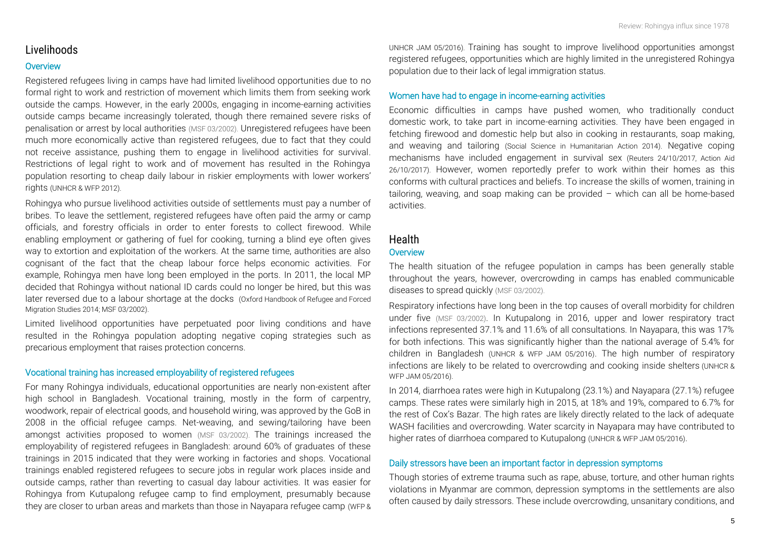## *Livelihoods*

#### **Overview**

Registered refugees living in camps have had limited livelihood opportunities due to no formal right to work and restriction of movement which limits them from seeking work outside the camps. However, in the early 2000s, engaging in income-earning activities outside camps became increasingly tolerated, though there remained severe risks of penalisation or arrest by local authorities [\(MSF 03/2002\)](https://www.google.com/url?sa=t&rct=j&q=&esrc=s&source=web&cd=1&ved=0ahUKEwju8_3upc_XAhVEo5QKHcGOBUcQFggrMAA&url=http%3A%2F%2Fwww.msf.org%2Fsites%2Fmsf.org%2Ffiles%2Fold-cms%2Fsource%2Fdownloads%2F2002%2Frohingya.doc&usg=AOvVaw0D4HSmbPHi9t5wbmyqkxoI). Unregistered refugees have been much more economically active than registered refugees, due to fact that they could not receive assistance, pushing them to engage in livelihood activities for survival. Restrictions of legal right to work and of movement has resulted in the Rohingya population resorting to cheap daily labour in riskier employments with lower workers' rights [\(UNHCR & WFP 2012\)](http://www.unhcr.org/510fcefb9.pdf).

Rohingya who pursue livelihood activities outside of settlements must pay a number of bribes. To leave the settlement, registered refugees have often paid the army or camp officials, and forestry officials in order to enter forests to collect firewood. While enabling employment or gathering of fuel for cooking, turning a blind eye often gives way to extortion and exploitation of the workers. At the same time, authorities are also cognisant of the fact that the cheap labour force helps economic activities. For example, Rohingya men have long been employed in the ports. In 2011, the local MP decided that Rohingya without national ID cards could no longer be hired, but this was later reversed due to a labour shortage at the docks [\(Oxford Handbook of Refugee and Forced](https://books.google.com.bd/books?id=kzDKAwAAQBAJ&pg=PA104&lpg=PA104&dq=humanitarian+access+rohingya+cox%27s+bazar+1978&source=bl&ots=oFkiWbIvtY&sig=V9_pVA-HX8EPJYGZDH3kCJQTnFs&hl=en&sa=X&ved=0ahUKEwiTs9y55d3XAhWGHpQKHUIyDT0Q6AEIZTAN#v=onepage&q=humanitarian%20access%20rohingya%20cox)  [Migration Studies 2014;](https://books.google.com.bd/books?id=kzDKAwAAQBAJ&pg=PA104&lpg=PA104&dq=humanitarian+access+rohingya+cox%27s+bazar+1978&source=bl&ots=oFkiWbIvtY&sig=V9_pVA-HX8EPJYGZDH3kCJQTnFs&hl=en&sa=X&ved=0ahUKEwiTs9y55d3XAhWGHpQKHUIyDT0Q6AEIZTAN#v=onepage&q=humanitarian%20access%20rohingya%20cox) [MSF 03/2002\)](https://www.google.com/url?sa=t&rct=j&q=&esrc=s&source=web&cd=1&ved=0ahUKEwju8_3upc_XAhVEo5QKHcGOBUcQFggrMAA&url=http%3A%2F%2Fwww.msf.org%2Fsites%2Fmsf.org%2Ffiles%2Fold-cms%2Fsource%2Fdownloads%2F2002%2Frohingya.doc&usg=AOvVaw0D4HSmbPHi9t5wbmyqkxoI).

Limited livelihood opportunities have perpetuated poor living conditions and have resulted in the Rohingya population adopting negative coping strategies such as precarious employment that raises protection concerns.

#### Vocational training has increased employability of registered refugees

For many Rohingya individuals, educational opportunities are nearly non-existent after high school in Bangladesh. Vocational training, mostly in the form of carpentry, woodwork, repair of electrical goods, and household wiring, was approved by the GoB in 2008 in the official refugee camps. Net-weaving, and sewing/tailoring have been amongst activities proposed to women [\(MSF 03/2002\)](https://www.google.com/url?sa=t&rct=j&q=&esrc=s&source=web&cd=1&ved=0ahUKEwju8_3upc_XAhVEo5QKHcGOBUcQFggrMAA&url=http%3A%2F%2Fwww.msf.org%2Fsites%2Fmsf.org%2Ffiles%2Fold-cms%2Fsource%2Fdownloads%2F2002%2Frohingya.doc&usg=AOvVaw0D4HSmbPHi9t5wbmyqkxoI). The trainings increased the employability of registered refugees in Bangladesh: around 60% of graduates of these trainings in 2015 indicated that they were working in factories and shops. Vocational trainings enabled registered refugees to secure jobs in regular work places inside and outside camps, rather than reverting to casual day labour activities. It was easier for Rohingya from Kutupalong refugee camp to find employment, presumably because they are closer to urban areas and markets than those in Nayapara refugee camp (WFP &

UNHCR JAM 05/2016). Training has sought to improve livelihood opportunities amongst registered refugees, opportunities which are highly limited in the unregistered Rohingya population due to their lack of legal immigration status.

#### Women have had to engage in income-earning activities

Economic difficulties in camps have pushed women, who traditionally conduct domestic work, to take part in income-earning activities. They have been engaged in fetching firewood and domestic help but also in cooking in restaurants, soap making, and weaving and tailoring [\(Social Science in Humanitarian Action 2014\)](http://www.socialscienceinaction.org/resources/gender-based-violence-among-documented-rohingya-refugees-bangladesh/). Negative coping mechanisms have included engagement in survival sex [\(Reuters 24/10/2017,](https://www.reuters.com/article/us-bangladesh-rohingya-sexworkers/clandestine-sex-industry-booms-in-rohingya-refugee-camps-idUSKBN1CS2WF) [Action Aid](https://www.actionaid.org.uk/blog/news/2017/10/26/the-safe-spaces-combatting-sex-trafficking-of-rohingya-women-and-girls)  [26/10/2017\)](https://www.actionaid.org.uk/blog/news/2017/10/26/the-safe-spaces-combatting-sex-trafficking-of-rohingya-women-and-girls). However, women reportedly prefer to work within their homes as this conforms with cultural practices and beliefs. To increase the skills of women, training in tailoring, weaving, and soap making can be provided – which can all be home-based activities.

### *Health* **Overview**

The health situation of the refugee population in camps has been generally stable throughout the years, however, overcrowding in camps has enabled communicable diseases to spread quickly [\(MSF 03/2002\)](https://www.google.com/url?sa=t&rct=j&q=&esrc=s&source=web&cd=1&ved=0ahUKEwju8_3upc_XAhVEo5QKHcGOBUcQFggrMAA&url=http%3A%2F%2Fwww.msf.org%2Fsites%2Fmsf.org%2Ffiles%2Fold-cms%2Fsource%2Fdownloads%2F2002%2Frohingya.doc&usg=AOvVaw0D4HSmbPHi9t5wbmyqkxoI).

Respiratory infections have long been in the top causes of overall morbidity for children under five [\(MSF 03/2002\)](https://www.google.com/url?sa=t&rct=j&q=&esrc=s&source=web&cd=1&ved=0ahUKEwju8_3upc_XAhVEo5QKHcGOBUcQFggrMAA&url=http%3A%2F%2Fwww.msf.org%2Fsites%2Fmsf.org%2Ffiles%2Fold-cms%2Fsource%2Fdownloads%2F2002%2Frohingya.doc&usg=AOvVaw0D4HSmbPHi9t5wbmyqkxoI). In Kutupalong in 2016, upper and lower respiratory tract infections represented 37.1% and 11.6% of all consultations. In Nayapara, this was 17% for both infections. This was significantly higher than the national average of 5.4% for children in Bangladesh (UNHCR & WFP JAM 05/2016). The high number of respiratory infections are likely to be related to overcrowding and cooking inside shelters (UNHCR & WFP JAM 05/2016).

In 2014, diarrhoea rates were high in Kutupalong (23.1%) and Nayapara (27.1%) refugee camps. These rates were similarly high in 2015, at 18% and 19%, compared to 6.7% for the rest of Cox's Bazar. The high rates are likely directly related to the lack of adequate WASH facilities and overcrowding. Water scarcity in Nayapara may have contributed to higher rates of diarrhoea compared to Kutupalong (UNHCR & WFP JAM 05/2016).

#### Daily stressors have been an important factor in depression symptoms

Though stories of extreme trauma such as rape, abuse, torture, and other human rights violations in Myanmar are common, depression symptoms in the settlements are also often caused by daily stressors. These include overcrowding, unsanitary conditions, and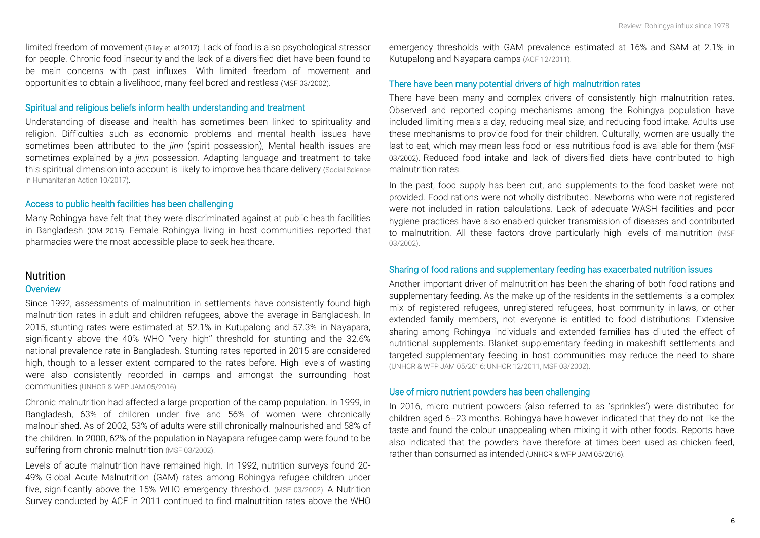limited freedom of movement [\(Riley et. al 2017\)](https://www.ncbi.nlm.nih.gov/pubmed/28540768). Lack of food is also psychological stressor for people. Chronic food insecurity and the lack of a diversified diet have been found to be main concerns with past influxes. With limited freedom of movement and opportunities to obtain a livelihood, many feel bored and restless [\(MSF 03/2002\)](https://www.google.com/url?sa=t&rct=j&q=&esrc=s&source=web&cd=1&ved=0ahUKEwju8_3upc_XAhVEo5QKHcGOBUcQFggrMAA&url=http%3A%2F%2Fwww.msf.org%2Fsites%2Fmsf.org%2Ffiles%2Fold-cms%2Fsource%2Fdownloads%2F2002%2Frohingya.doc&usg=AOvVaw0D4HSmbPHi9t5wbmyqkxoI).

#### Spiritual and religious beliefs inform health understanding and treatment

Understanding of disease and health has sometimes been linked to spirituality and religion. Difficulties such as economic problems and mental health issues have sometimes been attributed to the *jinn* (spirit possession), Mental health issues are sometimes explained by a *jinn* possession. Adapting language and treatment to take this spiritual dimension into account is likely to improve healthcare delivery [\(Social Science](https://opendocs.ids.ac.uk/opendocs/bitstream/handle/123456789/13328/Ripoll_2017_Social_and_cultural_factors_wellbeing_and_protection_of_the_Rohingya.pdf?sequence=1&isAllowed=y)  [in Humanitarian Action 10/2017\)](https://opendocs.ids.ac.uk/opendocs/bitstream/handle/123456789/13328/Ripoll_2017_Social_and_cultural_factors_wellbeing_and_protection_of_the_Rohingya.pdf?sequence=1&isAllowed=y).

#### Access to public health facilities has been challenging

Many Rohingya have felt that they were discriminated against at public health facilities in Bangladesh (IOM 2015). Female Rohingya living in host communities reported that pharmacies were the most accessible place to seek healthcare.

#### *Nutrition* **Overview**

Since 1992, assessments of malnutrition in settlements have consistently found high malnutrition rates in adult and children refugees, above the average in Bangladesh. In 2015, stunting rates were estimated at 52.1% in Kutupalong and 57.3% in Nayapara, significantly above the 40% WHO "very high'' threshold for stunting and the 32.6% national prevalence rate in Bangladesh. Stunting rates reported in 2015 are considered high, though to a lesser extent compared to the rates before. High levels of wasting were also consistently recorded in camps and amongst the surrounding host communities (UNHCR & WFP JAM 05/2016).

Chronic malnutrition had affected a large proportion of the camp population. In 1999, in Bangladesh, 63% of children under five and 56% of women were chronically malnourished. As of 2002, 53% of adults were still chronically malnourished and 58% of the children. In 2000, 62% of the population in Nayapara refugee camp were found to be suffering from chronic malnutrition [\(MSF 03/2002\)](https://www.google.com/url?sa=t&rct=j&q=&esrc=s&source=web&cd=1&ved=0ahUKEwju8_3upc_XAhVEo5QKHcGOBUcQFggrMAA&url=http%3A%2F%2Fwww.msf.org%2Fsites%2Fmsf.org%2Ffiles%2Fold-cms%2Fsource%2Fdownloads%2F2002%2Frohingya.doc&usg=AOvVaw0D4HSmbPHi9t5wbmyqkxoI).

Levels of acute malnutrition have remained high. In 1992, nutrition surveys found 20- 49% Global Acute Malnutrition (GAM) rates among Rohingya refugee children under five, significantly above the 15% WHO emergency threshold. [\(MSF 03/2002\)](https://www.google.com/url?sa=t&rct=j&q=&esrc=s&source=web&cd=1&ved=0ahUKEwju8_3upc_XAhVEo5QKHcGOBUcQFggrMAA&url=http%3A%2F%2Fwww.msf.org%2Fsites%2Fmsf.org%2Ffiles%2Fold-cms%2Fsource%2Fdownloads%2F2002%2Frohingya.doc&usg=AOvVaw0D4HSmbPHi9t5wbmyqkxoI). A Nutrition Survey conducted by ACF in 2011 continued to find malnutrition rates above the WHO

emergency thresholds with GAM prevalence estimated at 16% and SAM at 2.1% in Kutupalong and Nayapara camps (ACF [12/2011\)](https://reliefweb.int/sites/reliefweb.int/files/resources/nca_final_report_bangladesh-cox2011-2.pdf).

#### There have been many potential drivers of high malnutrition rates

There have been many and complex drivers of consistently high malnutrition rates. Observed and reported coping mechanisms among the Rohingya population have included limiting meals a day, reducing meal size, and reducing food intake. Adults use these mechanisms to provide food for their children. Culturally, women are usually the last to eat, which may mean less food or less nutritious food is available for them (MSF [03/2002\)](https://www.google.com/url?sa=t&rct=j&q=&esrc=s&source=web&cd=1&ved=0ahUKEwju8_3upc_XAhVEo5QKHcGOBUcQFggrMAA&url=http%3A%2F%2Fwww.msf.org%2Fsites%2Fmsf.org%2Ffiles%2Fold-cms%2Fsource%2Fdownloads%2F2002%2Frohingya.doc&usg=AOvVaw0D4HSmbPHi9t5wbmyqkxoI). Reduced food intake and lack of diversified diets have contributed to high malnutrition rates.

In the past, food supply has been cut, and supplements to the food basket were not provided. Food rations were not wholly distributed. Newborns who were not registered were not included in ration calculations. Lack of adequate WASH facilities and poor hygiene practices have also enabled quicker transmission of diseases and contributed to malnutrition. All these factors drove particularly high levels of malnutrition (MSF [03/2002\)](https://www.google.com/url?sa=t&rct=j&q=&esrc=s&source=web&cd=1&ved=0ahUKEwju8_3upc_XAhVEo5QKHcGOBUcQFggrMAA&url=http%3A%2F%2Fwww.msf.org%2Fsites%2Fmsf.org%2Ffiles%2Fold-cms%2Fsource%2Fdownloads%2F2002%2Frohingya.doc&usg=AOvVaw0D4HSmbPHi9t5wbmyqkxoI).

#### Sharing of food rations and supplementary feeding has exacerbated nutrition issues

Another important driver of malnutrition has been the sharing of both food rations and supplementary feeding. As the make-up of the residents in the settlements is a complex mix of registered refugees, unregistered refugees, host community in-laws, or other extended family members, not everyone is entitled to food distributions. Extensive sharing among Rohingya individuals and extended families has diluted the effect of nutritional supplements. Blanket supplementary feeding in makeshift settlements and targeted supplementary feeding in host communities may reduce the need to share (UNHCR & WFP JAM 05/2016[; UNHCR 12/2011,](http://www.unhcr.org/4ee754c19.pdf) [MSF 03/2002\)](https://www.google.com/url?sa=t&rct=j&q=&esrc=s&source=web&cd=1&ved=0ahUKEwju8_3upc_XAhVEo5QKHcGOBUcQFggrMAA&url=http%3A%2F%2Fwww.msf.org%2Fsites%2Fmsf.org%2Ffiles%2Fold-cms%2Fsource%2Fdownloads%2F2002%2Frohingya.doc&usg=AOvVaw0D4HSmbPHi9t5wbmyqkxoI).

#### Use of micro nutrient powders has been challenging

In 2016, micro nutrient powders (also referred to as 'sprinkles') were distributed for children aged 6–23 months. Rohingya have however indicated that they do not like the taste and found the colour unappealing when mixing it with other foods. Reports have also indicated that the powders have therefore at times been used as chicken feed, rather than consumed as intended (UNHCR & WFP JAM 05/2016).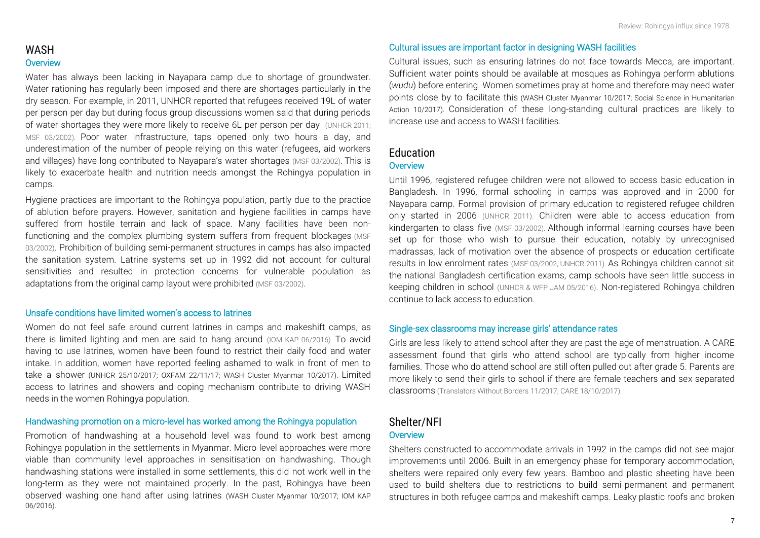Water has always been lacking in Nayapara camp due to shortage of groundwater. Water rationing has regularly been imposed and there are shortages particularly in the dry season. For example, in 2011, UNHCR reported that refugees received 19L of water per person per day but during focus group discussions women said that during periods of water shortages they were more likely to receive 6L per person per day [\(UNHCR 2011;](https://reliefweb.int/sites/reliefweb.int/files/resources/Full_Document_61.pdf)  [MSF 03/2002\)](https://www.google.com/url?sa=t&rct=j&q=&esrc=s&source=web&cd=1&ved=0ahUKEwju8_3upc_XAhVEo5QKHcGOBUcQFggrMAA&url=http%3A%2F%2Fwww.msf.org%2Fsites%2Fmsf.org%2Ffiles%2Fold-cms%2Fsource%2Fdownloads%2F2002%2Frohingya.doc&usg=AOvVaw0D4HSmbPHi9t5wbmyqkxoI). Poor water infrastructure, taps opened only two hours a day, and underestimation of the number of people relying on this water (refugees, aid workers and villages) have long contributed to Nayapara's water shortages [\(MSF 03/2002\)](https://www.google.com/url?sa=t&rct=j&q=&esrc=s&source=web&cd=1&ved=0ahUKEwju8_3upc_XAhVEo5QKHcGOBUcQFggrMAA&url=http%3A%2F%2Fwww.msf.org%2Fsites%2Fmsf.org%2Ffiles%2Fold-cms%2Fsource%2Fdownloads%2F2002%2Frohingya.doc&usg=AOvVaw0D4HSmbPHi9t5wbmyqkxoI). This is likely to exacerbate health and nutrition needs amongst the Rohingya population in camps.

Hygiene practices are important to the Rohingya population, partly due to the practice of ablution before prayers. However, sanitation and hygiene facilities in camps have suffered from hostile terrain and lack of space. Many facilities have been nonfunctioning and the complex plumbing system suffers from frequent blockages [\(MSF](https://www.google.com/url?sa=t&rct=j&q=&esrc=s&source=web&cd=1&ved=0ahUKEwju8_3upc_XAhVEo5QKHcGOBUcQFggrMAA&url=http%3A%2F%2Fwww.msf.org%2Fsites%2Fmsf.org%2Ffiles%2Fold-cms%2Fsource%2Fdownloads%2F2002%2Frohingya.doc&usg=AOvVaw0D4HSmbPHi9t5wbmyqkxoI)  [03/2002\)](https://www.google.com/url?sa=t&rct=j&q=&esrc=s&source=web&cd=1&ved=0ahUKEwju8_3upc_XAhVEo5QKHcGOBUcQFggrMAA&url=http%3A%2F%2Fwww.msf.org%2Fsites%2Fmsf.org%2Ffiles%2Fold-cms%2Fsource%2Fdownloads%2F2002%2Frohingya.doc&usg=AOvVaw0D4HSmbPHi9t5wbmyqkxoI). Prohibition of building semi-permanent structures in camps has also impacted the sanitation system. Latrine systems set up in 1992 did not account for cultural sensitivities and resulted in protection concerns for vulnerable population as adaptations from the original camp layout were prohibited [\(MSF 03/2002\)](https://www.google.com/url?sa=t&rct=j&q=&esrc=s&source=web&cd=1&ved=0ahUKEwju8_3upc_XAhVEo5QKHcGOBUcQFggrMAA&url=http%3A%2F%2Fwww.msf.org%2Fsites%2Fmsf.org%2Ffiles%2Fold-cms%2Fsource%2Fdownloads%2F2002%2Frohingya.doc&usg=AOvVaw0D4HSmbPHi9t5wbmyqkxoI).

#### Unsafe conditions have limited women's access to latrines

Women do not feel safe around current latrines in camps and makeshift camps, as there is limited lighting and men are said to hang around [\(IOM KAP 06/2016\)](https://drive.google.com/file/d/0B5lFMbTnxu_SSWhFNGZoZUExbG8/view). To avoid having to use latrines, women have been found to restrict their daily food and water intake. In addition, women have reported feeling ashamed to walk in front of men to take a shower [\(UNHCR 25/10/2017;](https://reliefweb.int/sites/reliefweb.int/files/resources/bangladesh_assessment_brief_3.pdf) [OXFAM 22/11/17;](https://www.humanitarianresponse.info/en/operations/bangladesh/assessment/rapid-protection-food-security-and-market-assessment) [WASH Cluster Myanmar 10/2017\)](https://www.humanitarianresponse.info/en/operations/bangladesh/document/brief-lessons-myanmar-wash-cluster-bangladesh-working-rohyinga). Limited access to latrines and showers and coping mechanism contribute to driving WASH needs in the women Rohingya population.

#### Handwashing promotion on a micro-level has worked among the Rohingya population

Promotion of handwashing at a household level was found to work best among Rohingya population in the settlements in Myanmar. Micro-level approaches were more viable than community level approaches in sensitisation on handwashing. Though handwashing stations were installed in some settlements, this did not work well in the long-term as they were not maintained properly. In the past, Rohingya have been observed washing one hand after using latrines [\(WASH Cluster Myanmar 10/2017;](https://www.humanitarianresponse.info/en/operations/bangladesh/document/brief-lessons-myanmar-wash-cluster-bangladesh-working-rohyinga) [IOM KAP](https://drive.google.com/file/d/0B5lFMbTnxu_SSWhFNGZoZUExbG8/view)  [06/2016\)](https://drive.google.com/file/d/0B5lFMbTnxu_SSWhFNGZoZUExbG8/view).

#### Cultural issues are important factor in designing WASH facilities

Cultural issues, such as ensuring latrines do not face towards Mecca, are important. Sufficient water points should be available at mosques as Rohingya perform ablutions (*wudu*) before entering. Women sometimes pray at home and therefore may need water points close by to facilitate this [\(WASH Cluster Myanmar 10/2017;](https://www.humanitarianresponse.info/en/operations/bangladesh/document/brief-lessons-myanmar-wash-cluster-bangladesh-working-rohyinga) [Social Science in Humanitarian](https://opendocs.ids.ac.uk/opendocs/bitstream/handle/123456789/13328/Ripoll_2017_Social_and_cultural_factors_wellbeing_and_protection_of_the_Rohingya.pdf?sequence=1&isAllowed=y)  [Action 10/2017\)](https://opendocs.ids.ac.uk/opendocs/bitstream/handle/123456789/13328/Ripoll_2017_Social_and_cultural_factors_wellbeing_and_protection_of_the_Rohingya.pdf?sequence=1&isAllowed=y). Consideration of these long-standing cultural practices are likely to increase use and access to WASH facilities.

#### *Education* **Overview**

Until 1996, registered refugee children were not allowed to access basic education in Bangladesh. In 1996, formal schooling in camps was approved and in 2000 for Nayapara camp. Formal provision of primary education to registered refugee children only started in 2006 [\(UNHCR 2011\)](http://www.netipr.org/policy/downloads/20111201_UNHCR-states-of-denial.pdf). Children were able to access education from kindergarten to class five [\(MSF 03/2002\)](https://www.google.com/url?sa=t&rct=j&q=&esrc=s&source=web&cd=1&ved=0ahUKEwju8_3upc_XAhVEo5QKHcGOBUcQFggrMAA&url=http%3A%2F%2Fwww.msf.org%2Fsites%2Fmsf.org%2Ffiles%2Fold-cms%2Fsource%2Fdownloads%2F2002%2Frohingya.doc&usg=AOvVaw0D4HSmbPHi9t5wbmyqkxoI). Although informal learning courses have been set up for those who wish to pursue their education, notably by unrecognised madrassas, lack of motivation over the absence of prospects or education certificate results in low enrolment rates [\(MSF 03/2002,](https://www.google.com/url?sa=t&rct=j&q=&esrc=s&source=web&cd=1&ved=0ahUKEwju8_3upc_XAhVEo5QKHcGOBUcQFggrMAA&url=http%3A%2F%2Fwww.msf.org%2Fsites%2Fmsf.org%2Ffiles%2Fold-cms%2Fsource%2Fdownloads%2F2002%2Frohingya.doc&usg=AOvVaw0D4HSmbPHi9t5wbmyqkxoI) [UNHCR 2011\)](http://www.netipr.org/policy/downloads/20111201_UNHCR-states-of-denial.pdf). As Rohingya children cannot sit the national Bangladesh certification exams, camp schools have seen little success in keeping children in school (UNHCR & WFP JAM 05/2016). Non-registered Rohingya children continue to lack access to education.

#### Single-sex classrooms may increase girls' attendance rates

Girls are less likely to attend school after they are past the age of menstruation. A CARE assessment found that girls who attend school are typically from higher income families. Those who do attend school are still often pulled out after grade 5. Parents are more likely to send their girls to school if there are female teachers and sex-separated classrooms [\(Translators Without Borders 11/2017;](https://www.arcgis.com/apps/Cascade/index.html?appid=683a58b07dba4db189297061b4f8cd40) [CARE 18/10/2017\)](https://www.humanitarianresponse.info/sites/www.humanitarianresponse.info/files/assessments/171018_care_rapid_gender_analysis_of_myanmar_refugee_crisis.pdf).

#### *Shelter/NFI* **Overview**

Shelters constructed to accommodate arrivals in 1992 in the camps did not see major improvements until 2006. Built in an emergency phase for temporary accommodation, shelters were repaired only every few years. Bamboo and plastic sheeting have been used to build shelters due to restrictions to build semi-permanent and permanent structures in both refugee camps and makeshift camps. Leaky plastic roofs and broken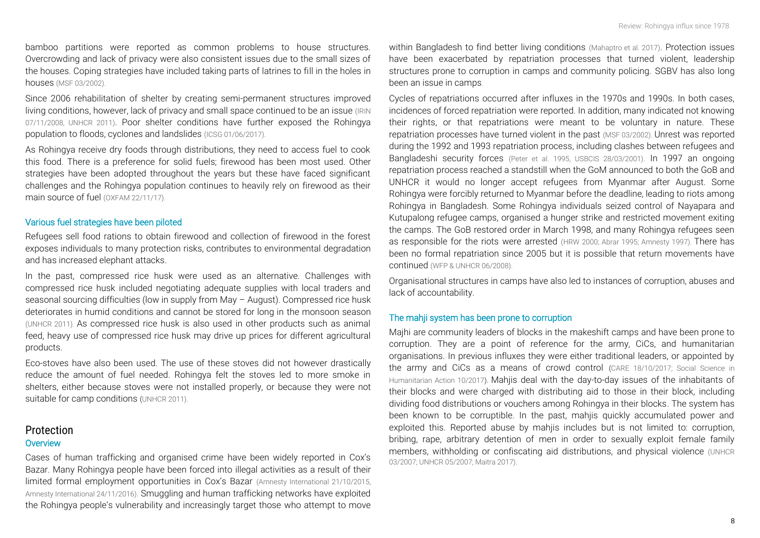bamboo partitions were reported as common problems to house structures. Overcrowding and lack of privacy were also consistent issues due to the small sizes of the houses. Coping strategies have included taking parts of latrines to fill in the holes in houses [\(MSF 03/2002\)](https://www.google.com/url?sa=t&rct=j&q=&esrc=s&source=web&cd=1&ved=0ahUKEwju8_3upc_XAhVEo5QKHcGOBUcQFggrMAA&url=http%3A%2F%2Fwww.msf.org%2Fsites%2Fmsf.org%2Ffiles%2Fold-cms%2Fsource%2Fdownloads%2F2002%2Frohingya.doc&usg=AOvVaw0D4HSmbPHi9t5wbmyqkxoI).

Since 2006 rehabilitation of shelter by creating semi-permanent structures improved living conditions, however, lack of privacy and small space continued to be an issue (IRIN [07/11/2008,](https://reliefweb.int/report/bangladesh/bangladesh-rohingya-refugee-camps-improved) [UNHCR 2011\)](http://www.netipr.org/policy/downloads/20111201_UNHCR-states-of-denial.pdf). Poor shelter conditions have further exposed the Rohingya population to floods, cyclones and landslides [\(ICSG 01/06/2017\)](https://reliefweb.int/report/bangladesh/iscg-situation-report-cyclone-mora-cox-s-bazar-1-june-2017).

As Rohingya receive dry foods through distributions, they need to access fuel to cook this food. There is a preference for solid fuels; firewood has been most used. Other strategies have been adopted throughout the years but these have faced significant challenges and the Rohingya population continues to heavily rely on firewood as their main source of fuel [\(OXFAM 22/11/17\)](https://reliefweb.int/sites/reliefweb.int/files/resources/oxfam_rapid_assessment_report_cb_nov_2017_.pdf).

#### Various fuel strategies have been piloted

Refugees sell food rations to obtain firewood and collection of firewood in the forest exposes individuals to many protection risks, contributes to environmental degradation and has increased elephant attacks.

In the past, compressed rice husk were used as an alternative. Challenges with compressed rice husk included negotiating adequate supplies with local traders and seasonal sourcing difficulties (low in supply from May – August). Compressed rice husk deteriorates in humid conditions and cannot be stored for long in the monsoon season [\(UNHCR 2011\)](https://reliefweb.int/sites/reliefweb.int/files/resources/Full_Document_61.pdf). As compressed rice husk is also used in other products such as animal feed, heavy use of compressed rice husk may drive up prices for different agricultural products.

Eco-stoves have also been used. The use of these stoves did not however drastically reduce the amount of fuel needed. Rohingya felt the stoves led to more smoke in shelters, either because stoves were not installed properly, or because they were not suitable for camp conditions [\(UNHCR 2011\)](https://reliefweb.int/sites/reliefweb.int/files/resources/Full_Document_61.pdf).

#### *Protection* **Overview**

Cases of human trafficking and organised crime have been widely reported in Cox's Bazar. Many Rohingya people have been forced into illegal activities as a result of their limited formal employment opportunities in Cox's Bazar [\(Amnesty International 21/10/2015,](https://www.amnesty.org/en/documents/ASA21/2574/2015/en/)  [Amnesty International 24/11/2016\)](https://www.amnesty.nl/actueel/bangladesh-pushes-back-rohingya-refugees-amid-collective-punishment-myanmar). Smuggling and human trafficking networks have exploited the Rohingya people's vulnerability and increasingly target those who attempt to move

within Bangladesh to find better living conditions [\(Mahaptro et al. 2017\)](https://www.humanitarianresponse.info/sites/www.humanitarianresponse.info/files/assessments/coping_strategy_report_final_report_20171023.pdf). Protection issues have been exacerbated by repatriation processes that turned violent, leadership structures prone to corruption in camps and community policing. SGBV has also long been an issue in camps.

Cycles of repatriations occurred after influxes in the 1970s and 1990s. In both cases, incidences of forced repatriation were reported. In addition, many indicated not knowing their rights, or that repatriations were meant to be voluntary in nature. These repatriation processes have turned violent in the past [\(MSF 03/2002\)](https://www.google.com/url?sa=t&rct=j&q=&esrc=s&source=web&cd=1&ved=0ahUKEwju8_3upc_XAhVEo5QKHcGOBUcQFggrMAA&url=http%3A%2F%2Fwww.msf.org%2Fsites%2Fmsf.org%2Ffiles%2Fold-cms%2Fsource%2Fdownloads%2F2002%2Frohingya.doc&usg=AOvVaw0D4HSmbPHi9t5wbmyqkxoI). Unrest was reported during the 1992 and 1993 repatriation process, including clashes between refugees and Bangladeshi security forces [\(Peter et al. 1995,](https://books.google.ch/books?id=u1xbgrkpX1cC&pg=PA121&lpg=PA121&dq=repatriation+unrest+camps+cox+bazar&source=bl&ots=ikI8Rbq0KU&sig=0Y85eyJ2Kvs_gKbUV4NcCu05OdM&hl=en&sa=X&ved=0ahUKEwiT_JHRnvXXAhUCL1AKHXKzBRcQ6AEINDAC#v=onepage&q=repatriation%20unrest%20camps%20cox%20bazar&f=false) [USBCIS 28/03/2001\)](http://www.refworld.org/docid/3deccb113.html). In 1997 an ongoing repatriation process reached a standstill when the GoM announced to both the GoB and UNHCR it would no longer accept refugees from Myanmar after August. Some Rohingya were forcibly returned to Myanmar before the deadline, leading to riots among Rohingya in Bangladesh. Some Rohingya individuals seized control of Nayapara and Kutupalong refugee camps, organised a hunger strike and restricted movement exiting the camps. The GoB restored order in March 1998, and many Rohingya refugees seen as responsible for the riots were arrested [\(HRW 2000;](https://www.hrw.org/reports/2000/burma/burm005-01.htm) [Abrar 1995;](http://www.burmalibrary.org/docs21/Abrar-NM-Repatriation_of_Rohingya_refugees-en.pdf) [Amnesty 1997\)](https://www.amnesty.org/en/documents/asa13/007/1997/en/). There has been no formal repatriation since 2005 but it is possible that return movements have continued [\(WFP & UNHCR](http://documents.wfp.org/stellent/groups/public/documents/ena/wfp190341.pdf) 06/2008).

Organisational structures in camps have also led to instances of corruption, abuses and lack of accountability.

#### The mahji system has been prone to corruption

Majhi are community leaders of blocks in the makeshift camps and have been prone to corruption. They are a point of reference for the army, CiCs, and humanitarian organisations. In previous influxes they were either traditional leaders, or appointed by the army and CiCs as a means of crowd control [\(CARE 18/10/2017;](https://www.humanitarianresponse.info/sites/www.humanitarianresponse.info/files/assessments/171018_care_rapid_gender_analysis_of_myanmar_refugee_crisis.pdf) [Social Science in](https://opendocs.ids.ac.uk/opendocs/bitstream/handle/123456789/13328/Ripoll_2017_Social_and_cultural_factors_wellbeing_and_protection_of_the_Rohingya.pdf?sequence=1&isAllowed=y)  [Humanitarian Action 10/2017\)](https://opendocs.ids.ac.uk/opendocs/bitstream/handle/123456789/13328/Ripoll_2017_Social_and_cultural_factors_wellbeing_and_protection_of_the_Rohingya.pdf?sequence=1&isAllowed=y). Mahjis deal with the day-to-day issues of the inhabitants of their blocks and were charged with distributing aid to those in their block, including dividing food distributions or vouchers among Rohingya in their blocks. The system has been known to be corruptible. In the past, mahjis quickly accumulated power and exploited this. Reported abuse by mahjis includes but is not limited to: corruption, bribing, rape, arbitrary detention of men in order to sexually exploit female family members, withholding or confiscating aid distributions, and physical violence [\(UNHCR](http://www.refworld.org/pdfid/46f0ec002.pdf)  [03/2007;](http://www.refworld.org/pdfid/46f0ec002.pdf) [UNHCR 05/2007;](http://www.unhcr.org/protect/PROTECTION/46fa1af32.pdf) [Maitra 2017\)](http://www.mcrg.ac.in/internship/Research_Proposal_Adrija.pdf).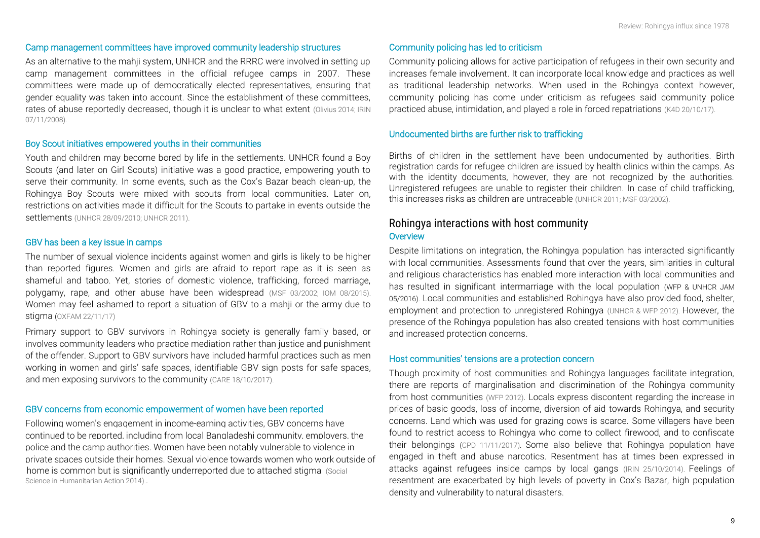#### Camp management committees have improved community leadership structures

As an alternative to the mahji system, UNHCR and the RRRC were involved in setting up camp management committees in the official refugee camps in 2007. These committees were made up of democratically elected representatives, ensuring that gender equality was taken into account. Since the establishment of these committees, rates of abuse reportedly decreased, though it is unclear to what extent [\(Olivius 2014;](http://www.diva-portal.org/smash/get/diva2:725464/FULLTEXT02.pdf) IRIN [07/11/2008\)](http://www.irinnews.org/news/2008/11/07/rohingya-refugee-camps-improved).

#### Boy Scout initiatives empowered youths in their communities

Youth and children may become bored by life in the settlements. UNHCR found a Boy Scouts (and later on Girl Scouts) initiative was a good practice, empowering youth to serve their community. In some events, such as the Cox's Bazar beach clean-up, the Rohingya Boy Scouts were mixed with scouts from local communities. Later on, restrictions on activities made it difficult for the Scouts to partake in events outside the settlements [\(UNHCR 28/09/2010;](http://www.unhcr.org/news/latest/2010/9/4ca1daea6/making-splash-refugee-boy-scouts-bangladesh-clean-beach.html) [UNHCR 2011\)](https://reliefweb.int/sites/reliefweb.int/files/resources/Full_Document_61.pdf).

#### GBV has been a key issue in camps

The number of sexual violence incidents against women and girls is likely to be higher than reported figures. Women and girls are afraid to report rape as it is seen as shameful and taboo. Yet, stories of domestic violence, trafficking, forced marriage, polygamy, rape, and other abuse have been widespread [\(MSF 03/2002;](https://www.google.com/url?sa=t&rct=j&q=&esrc=s&source=web&cd=1&ved=0ahUKEwju8_3upc_XAhVEo5QKHcGOBUcQFggrMAA&url=http%3A%2F%2Fwww.msf.org%2Fsites%2Fmsf.org%2Ffiles%2Fold-cms%2Fsource%2Fdownloads%2F2002%2Frohingya.doc&usg=AOvVaw0D4HSmbPHi9t5wbmyqkxoI) [IOM 08/2015](https://drive.google.com/file/d/0B5lFMbTnxu_SN2dScDhtQnNicVk/view)). Women may feel ashamed to report a situation of GBV to a mahji or the army due to stigma [\(OXFAM 22/11/17\)](https://reliefweb.int/sites/reliefweb.int/files/resources/oxfam_rapid_assessment_report_cb_nov_2017_.pdf)

Primary support to GBV survivors in Rohingya society is generally family based, or involves community leaders who practice mediation rather than justice and punishment of the offender. Support to GBV survivors have included harmful practices such as men working in women and girls' safe spaces, identifiable GBV sign posts for safe spaces, and men exposing survivors to the community [\(CARE 18/10/2017\)](https://www.humanitarianresponse.info/sites/www.humanitarianresponse.info/files/assessments/171018_care_rapid_gender_analysis_of_myanmar_refugee_crisis.pdf).

#### GBV concerns from economic empowerment of women have been reported

Following women's engagement in income-earning activities, GBV concerns have continued to be reported, including from local Bangladeshi community, employers, the police and the camp authorities. Women have been notably vulnerable to violence in private spaces outside their homes. Sexual violence towards women who work out[side of](http://www.socialscienceinaction.org/resources/gender-based-violence-among-documented-rohingya-refugees-bangladesh/) home is common but is significantly underreported due to attached stigma (Social [Science in Humanitarian Action 2014\)](http://www.socialscienceinaction.org/resources/gender-based-violence-among-documented-rohingya-refugees-bangladesh/)..

#### Community policing has led to criticism

Community policing allows for active participation of refugees in their own security and increases female involvement. It can incorporate local knowledge and practices as well as traditional leadership networks. When used in the Rohingya context however, community policing has come under criticism as refugees said community police practiced abuse, intimidation, and played a role in forced repatriations [\(K4D 20/10/17\)](https://reliefweb.int/sites/reliefweb.int/files/resources/224-Managing-risks-in-securitisation-of-refugees.pdf).

#### Undocumented births are further risk to trafficking

Births of children in the settlement have been undocumented by authorities. Birth registration cards for refugee children are issued by health clinics within the camps. As with the identity documents, however, they are not recognized by the authorities. Unregistered refugees are unable to register their children. In case of child trafficking, this increases risks as children are untraceable [\(UNHCR 2011;](https://reliefweb.int/sites/reliefweb.int/files/resources/Full_Document_61.pdf) [MSF 03/2002\)](https://www.google.com/url?sa=t&rct=j&q=&esrc=s&source=web&cd=1&ved=0ahUKEwju8_3upc_XAhVEo5QKHcGOBUcQFggrMAA&url=http%3A%2F%2Fwww.msf.org%2Fsites%2Fmsf.org%2Ffiles%2Fold-cms%2Fsource%2Fdownloads%2F2002%2Frohingya.doc&usg=AOvVaw0D4HSmbPHi9t5wbmyqkxoI).

#### *Rohingya interactions with host community*  **Overview**

Despite limitations on integration, the Rohingya population has interacted significantly with local communities. Assessments found that over the years, similarities in cultural and religious characteristics has enabled more interaction with local communities and has resulted in significant intermarriage with the local population (WFP & UNHCR JAM 05/2016). Local communities and established Rohingya have also provided food, shelter, employment and protection to unregistered Rohingya [\(UNHCR & WFP 2012\)](http://www.unhcr.org/510fcefb9.pdf). However, the presence of the Rohingya population has also created tensions with host communities and increased protection concerns.

#### Host communities' tensions are a protection concern

Though proximity of host communities and Rohingya languages facilitate integration, there are reports of marginalisation and discrimination of the Rohingya community from host communities [\(WFP 2012\)](file:///C:/Users/CR/Dropbox%20(ACAPS)/8.%20BDSH1721%20Bangladesh%20Rohingya/4.%20Secondary%20data/3.%20Pre-Influx%20Data/2.%20Sectoral/2.%20FSL/2012%20Food%20Assistance%20Impact%20Evaluation.pdf). Locals express discontent regarding the increase in prices of basic goods, loss of income, diversion of aid towards Rohingya, and security concerns. Land which was used for grazing cows is scarce. Some villagers have been found to restrict access to Rohingya who come to collect firewood, and to confiscate their belongings [\(CPD 11/11/2017\)](http://cpd.org.bd/wp-content/uploads/2017/11/Presentation-on-Implications-of-the-Rohingya-Crisis-for-Bangladesh.pdf). Some also believe that Rohingya population have engaged in theft and abuse narcotics. Resentment has at times been expressed in attacks against refugees inside camps by local gangs [\(IRIN 25/10/2014\)](http://www.irinnews.org/report/100882/bangladeshs-rohingya-camps-promise-or-peril). Feelings of resentment are exacerbated by high levels of poverty in Cox's Bazar, high population density and vulnerability to natural disasters.